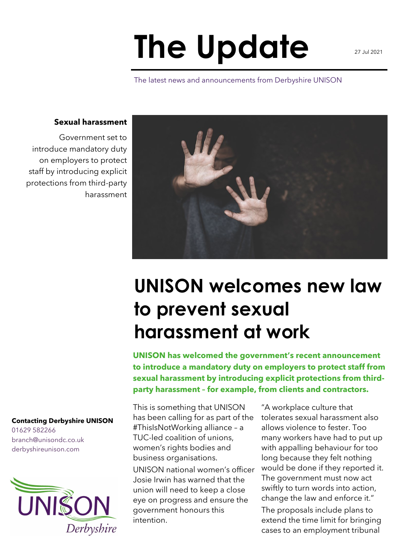## **The Update**

The latest news and announcements from Derbyshire UNISON

## **Sexual harassment**

Government set to introduce mandatory duty on employers to protect staff by introducing explicit protections from third-party harassment

> **UNISON welcomes new law to prevent sexual harassment at work**

**UNISON has welcomed the government's recent announcement to introduce a mandatory duty on employers to protect staff from sexual harassment by introducing explicit protections from thirdparty harassment – for example, from clients and contractors.**

This is something that UNISON has been calling for as part of the #ThisIsNotWorking alliance – a TUC-led coalition of unions, women's rights bodies and business organisations.

UNISON national women's officer Josie Irwin has warned that the union will need to keep a close eye on progress and ensure the government honours this intention.

"A workplace culture that tolerates sexual harassment also allows violence to fester. Too many workers have had to put up with appalling behaviour for too long because they felt nothing would be done if they reported it. The government must now act swiftly to turn words into action, change the law and enforce it." The proposals include plans to

extend the time limit for bringing cases to an employment tribunal

## **Contacting Derbyshire UNISON**

01629 582266 branch@unisondc.co.uk derbyshireunison.com